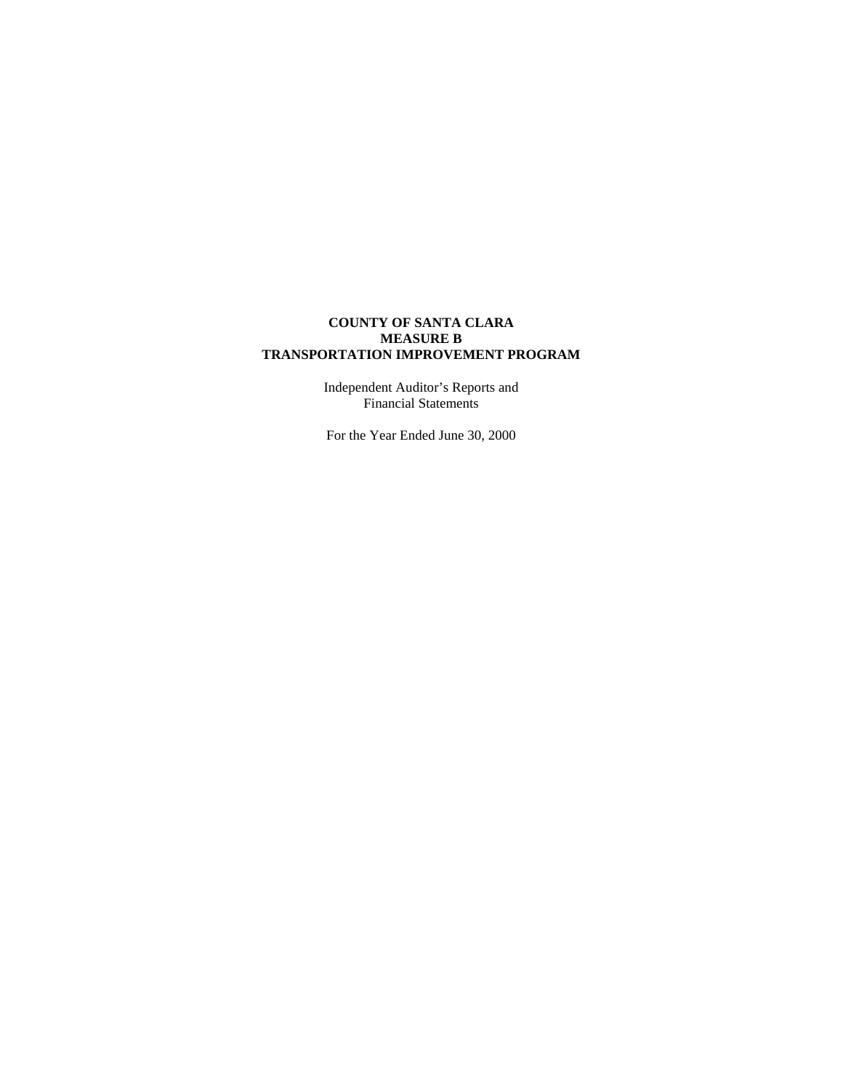Independent Auditor's Reports and Financial Statements

For the Year Ended June 30, 2000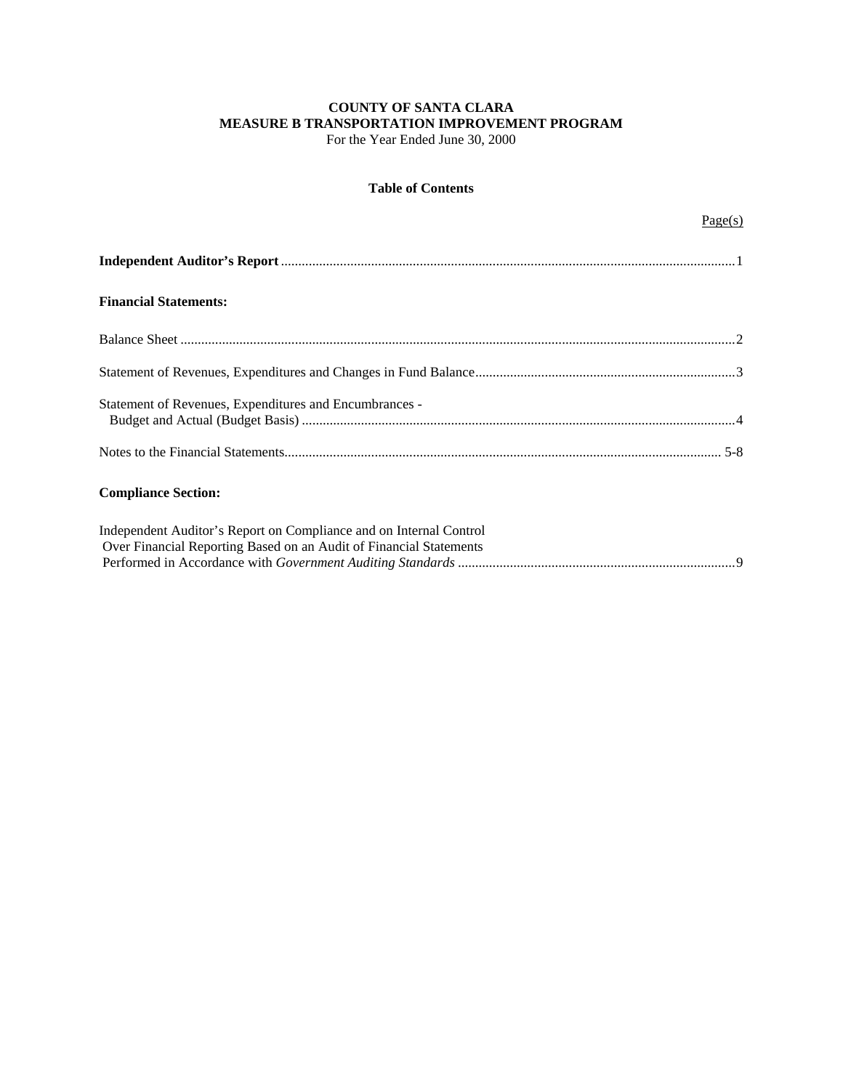For the Year Ended June 30, 2000

## **Table of Contents**

| <b>Financial Statements:</b>                                                                                                             |  |
|------------------------------------------------------------------------------------------------------------------------------------------|--|
|                                                                                                                                          |  |
|                                                                                                                                          |  |
| Statement of Revenues, Expenditures and Encumbrances -                                                                                   |  |
|                                                                                                                                          |  |
| <b>Compliance Section:</b>                                                                                                               |  |
| Independent Auditor's Report on Compliance and on Internal Control<br>Over Financial Reporting Based on an Audit of Financial Statements |  |
|                                                                                                                                          |  |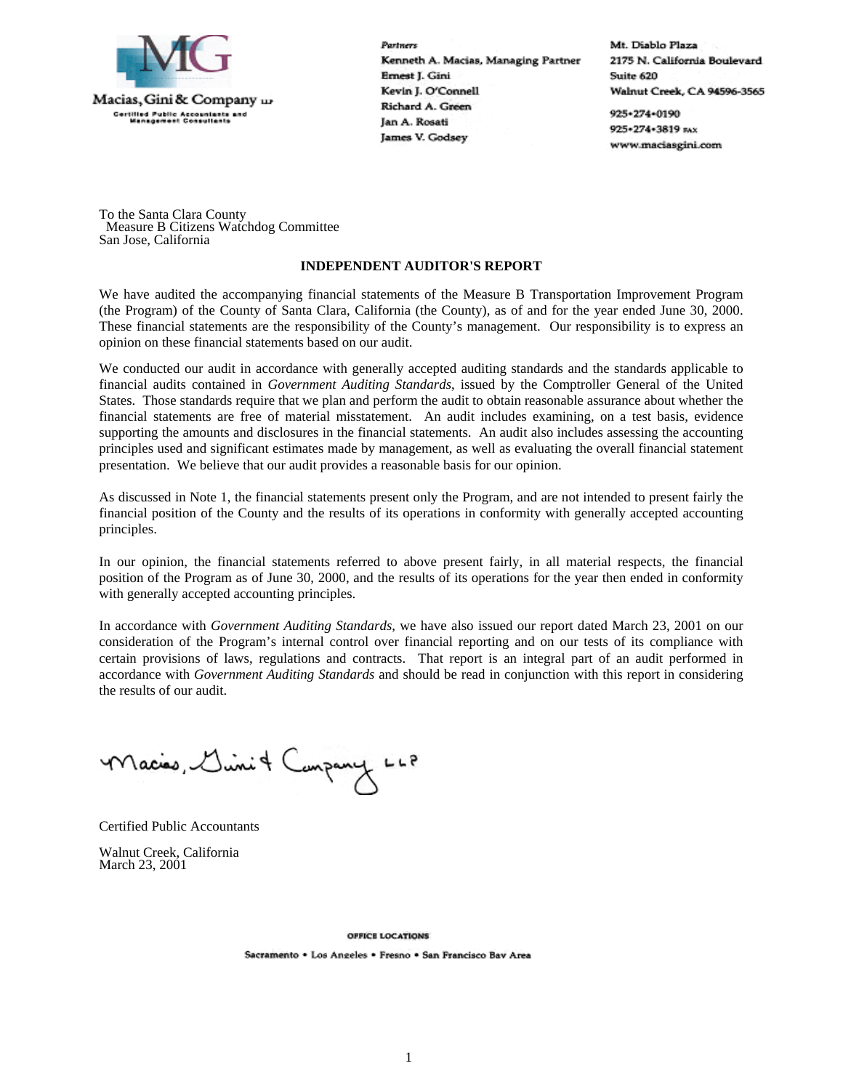

Partners Kenneth A. Macias, Managing Partner Ernest J. Gini Kevin J. O'Connell Richard A. Green Jan A. Rosati James V. Godsey

Mt. Diablo Plaza 2175 N. California Boulevard Suite 620 Walnut Creek, CA 94596-3565

925+274+0190 925+274+3819 FAX www.maciasgini.com

To the Santa Clara County Measure B Citizens Watchdog Committee San Jose, California

### **INDEPENDENT AUDITOR'S REPORT**

We have audited the accompanying financial statements of the Measure B Transportation Improvement Program (the Program) of the County of Santa Clara, California (the County), as of and for the year ended June 30, 2000. These financial statements are the responsibility of the County's management. Our responsibility is to express an opinion on these financial statements based on our audit.

We conducted our audit in accordance with generally accepted auditing standards and the standards applicable to financial audits contained in *Government Auditing Standards*, issued by the Comptroller General of the United States. Those standards require that we plan and perform the audit to obtain reasonable assurance about whether the financial statements are free of material misstatement. An audit includes examining, on a test basis, evidence supporting the amounts and disclosures in the financial statements. An audit also includes assessing the accounting principles used and significant estimates made by management, as well as evaluating the overall financial statement presentation. We believe that our audit provides a reasonable basis for our opinion.

As discussed in Note 1, the financial statements present only the Program, and are not intended to present fairly the financial position of the County and the results of its operations in conformity with generally accepted accounting principles.

In our opinion, the financial statements referred to above present fairly, in all material respects, the financial position of the Program as of June 30, 2000, and the results of its operations for the year then ended in conformity with generally accepted accounting principles.

In accordance with *Government Auditing Standards*, we have also issued our report dated March 23, 2001 on our consideration of the Program's internal control over financial reporting and on our tests of its compliance with certain provisions of laws, regulations and contracts. That report is an integral part of an audit performed in accordance with *Government Auditing Standards* and should be read in conjunction with this report in considering the results of our audit.

Macies, Llinit Canpany LLP

Certified Public Accountants

Walnut Creek, California March 23, 2001

> **OFFICE LOCATIONS** Sacramento . Los Angeles . Fresno . San Francisco Bav Area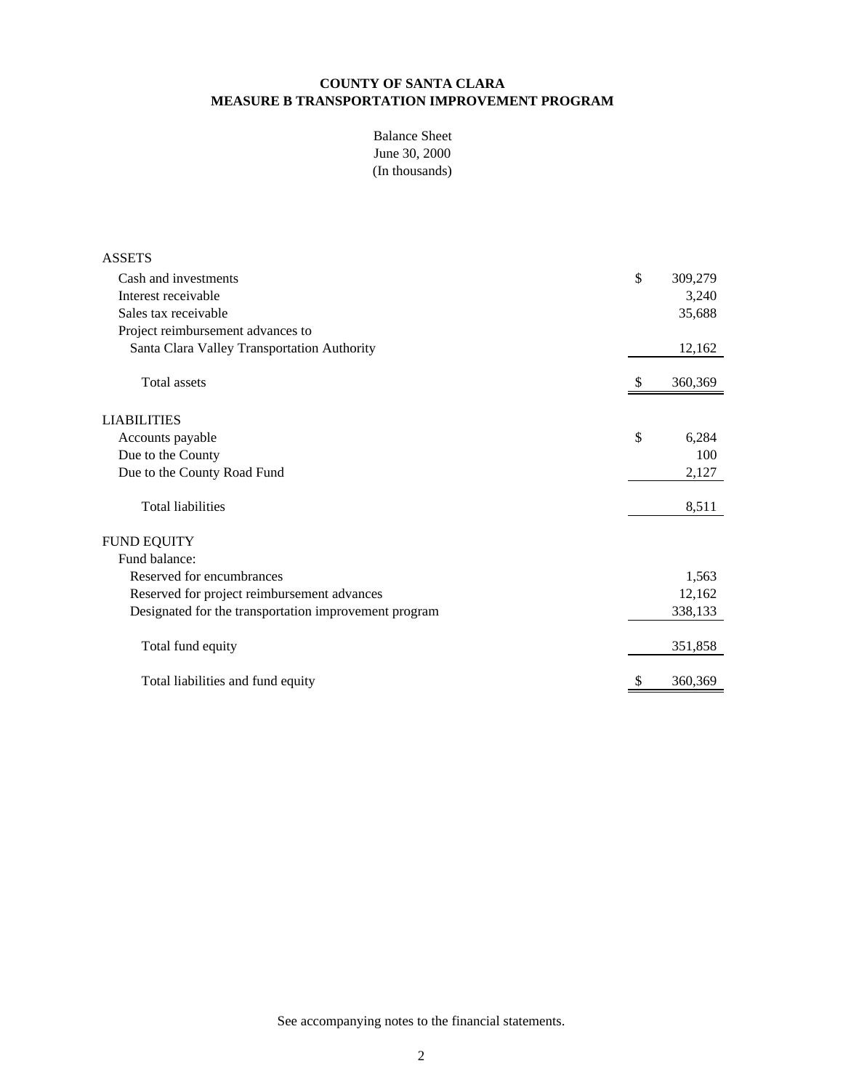(In thousands) Balance Sheet June 30, 2000

| <b>ASSETS</b>                                         |    |         |
|-------------------------------------------------------|----|---------|
| Cash and investments                                  | \$ | 309,279 |
| Interest receivable                                   |    | 3,240   |
| Sales tax receivable                                  |    | 35,688  |
| Project reimbursement advances to                     |    |         |
| Santa Clara Valley Transportation Authority           |    | 12,162  |
| <b>Total assets</b>                                   | S  | 360,369 |
| <b>LIABILITIES</b>                                    |    |         |
| Accounts payable                                      | \$ | 6,284   |
| Due to the County                                     |    | 100     |
| Due to the County Road Fund                           |    | 2,127   |
| <b>Total liabilities</b>                              |    | 8,511   |
| <b>FUND EQUITY</b>                                    |    |         |
| Fund balance:                                         |    |         |
| Reserved for encumbrances                             |    | 1,563   |
| Reserved for project reimbursement advances           |    | 12,162  |
| Designated for the transportation improvement program |    | 338,133 |
| Total fund equity                                     |    | 351,858 |
| Total liabilities and fund equity                     |    | 360,369 |

See accompanying notes to the financial statements.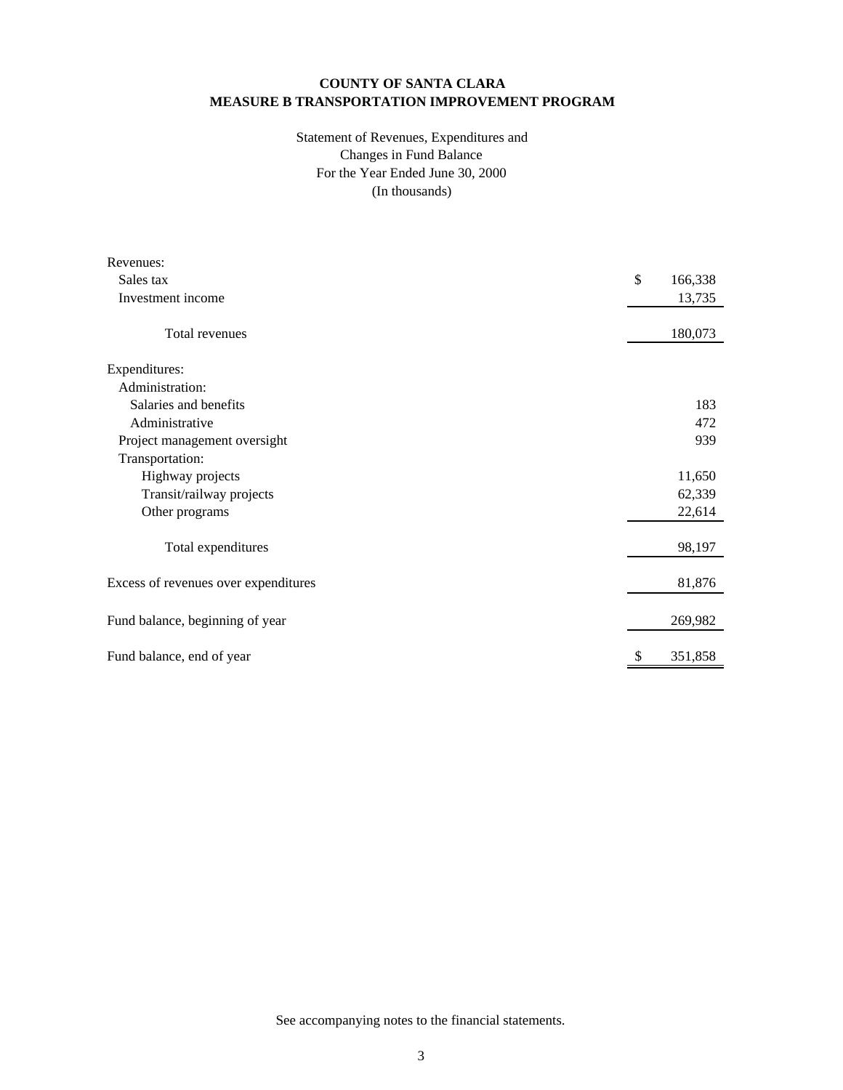## (In thousands) Statement of Revenues, Expenditures and For the Year Ended June 30, 2000 Changes in Fund Balance

| Revenues:                            |               |
|--------------------------------------|---------------|
| Sales tax                            | \$<br>166,338 |
| Investment income                    | 13,735        |
| Total revenues                       | 180,073       |
| Expenditures:                        |               |
| Administration:                      |               |
| Salaries and benefits                | 183           |
| Administrative                       | 472           |
| Project management oversight         | 939           |
| Transportation:                      |               |
| Highway projects                     | 11,650        |
| Transit/railway projects             | 62,339        |
| Other programs                       | 22,614        |
| Total expenditures                   | 98,197        |
| Excess of revenues over expenditures | 81,876        |
| Fund balance, beginning of year      | 269,982       |
| Fund balance, end of year            | 351,858       |

See accompanying notes to the financial statements.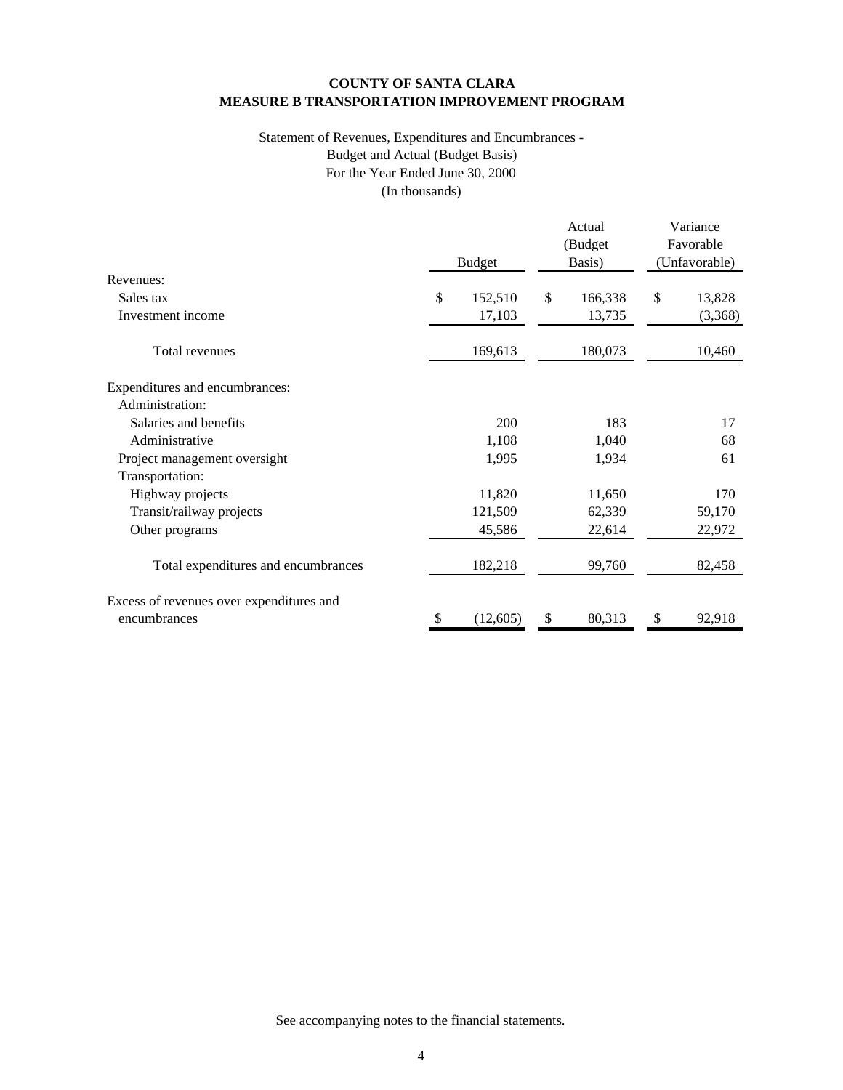## (In thousands) Statement of Revenues, Expenditures and Encumbrances - For the Year Ended June 30, 2000 Budget and Actual (Budget Basis)

|                                          |               | Actual            | Variance                   |
|------------------------------------------|---------------|-------------------|----------------------------|
|                                          | <b>Budget</b> | (Budget<br>Basis) | Favorable<br>(Unfavorable) |
| Revenues:                                |               |                   |                            |
| Sales tax                                | \$<br>152,510 | \$<br>166,338     | \$<br>13,828               |
| Investment income                        | 17,103        | 13,735            | (3,368)                    |
| Total revenues                           | 169,613       | 180,073           | 10,460                     |
| Expenditures and encumbrances:           |               |                   |                            |
| Administration:                          |               |                   |                            |
| Salaries and benefits                    | 200           | 183               | 17                         |
| Administrative                           | 1,108         | 1,040             | 68                         |
| Project management oversight             | 1,995         | 1,934             | 61                         |
| Transportation:                          |               |                   |                            |
| Highway projects                         | 11,820        | 11,650            | 170                        |
| Transit/railway projects                 | 121,509       | 62,339            | 59,170                     |
| Other programs                           | 45,586        | 22,614            | 22,972                     |
| Total expenditures and encumbrances      | 182,218       | 99,760            | 82,458                     |
| Excess of revenues over expenditures and |               |                   |                            |
| encumbrances                             | (12,605)      | 80,313            | 92,918                     |

See accompanying notes to the financial statements.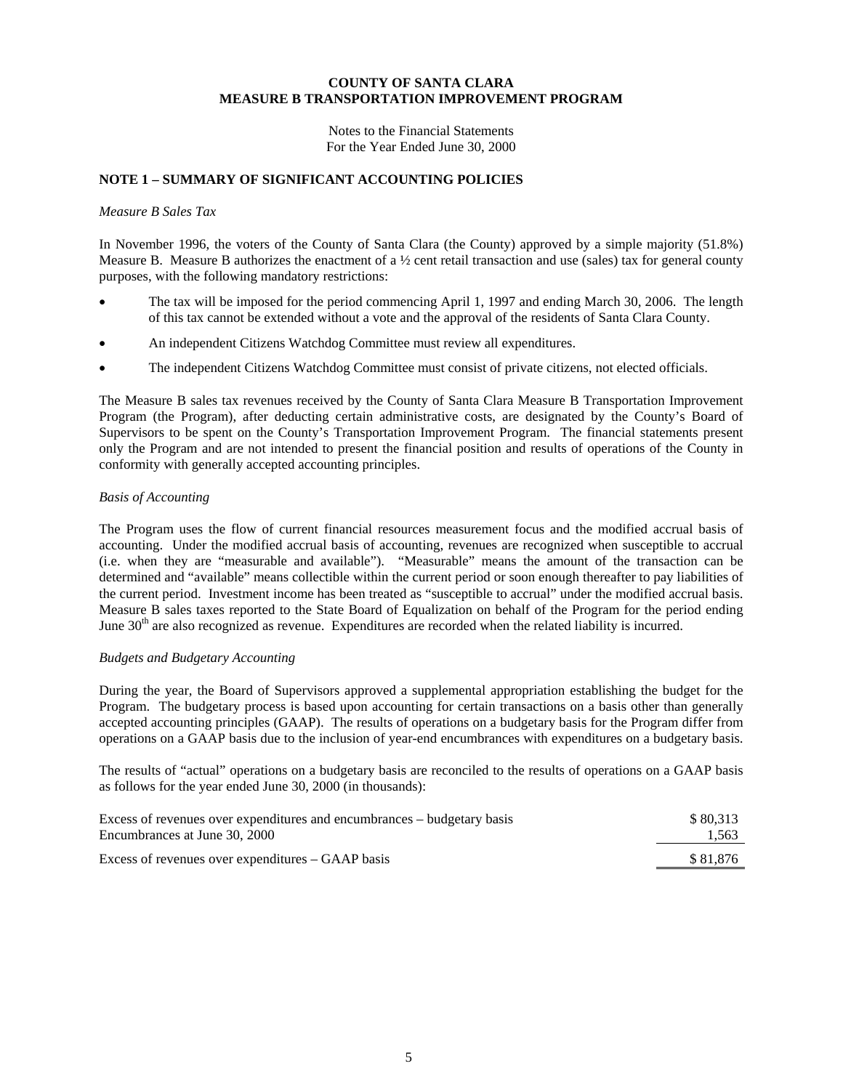Notes to the Financial Statements For the Year Ended June 30, 2000

## **NOTE 1 – SUMMARY OF SIGNIFICANT ACCOUNTING POLICIES**

#### *Measure B Sales Tax*

In November 1996, the voters of the County of Santa Clara (the County) approved by a simple majority (51.8%) Measure B. Measure B authorizes the enactment of a  $\frac{1}{2}$  cent retail transaction and use (sales) tax for general county purposes, with the following mandatory restrictions:

- The tax will be imposed for the period commencing April 1, 1997 and ending March 30, 2006. The length of this tax cannot be extended without a vote and the approval of the residents of Santa Clara County.
- An independent Citizens Watchdog Committee must review all expenditures.
- The independent Citizens Watchdog Committee must consist of private citizens, not elected officials.

The Measure B sales tax revenues received by the County of Santa Clara Measure B Transportation Improvement Program (the Program), after deducting certain administrative costs, are designated by the County's Board of Supervisors to be spent on the County's Transportation Improvement Program. The financial statements present only the Program and are not intended to present the financial position and results of operations of the County in conformity with generally accepted accounting principles.

#### *Basis of Accounting*

The Program uses the flow of current financial resources measurement focus and the modified accrual basis of accounting. Under the modified accrual basis of accounting, revenues are recognized when susceptible to accrual (i.e. when they are "measurable and available"). "Measurable" means the amount of the transaction can be determined and "available" means collectible within the current period or soon enough thereafter to pay liabilities of the current period. Investment income has been treated as "susceptible to accrual" under the modified accrual basis. Measure B sales taxes reported to the State Board of Equalization on behalf of the Program for the period ending June  $30<sup>th</sup>$  are also recognized as revenue. Expenditures are recorded when the related liability is incurred.

## *Budgets and Budgetary Accounting*

During the year, the Board of Supervisors approved a supplemental appropriation establishing the budget for the Program. The budgetary process is based upon accounting for certain transactions on a basis other than generally accepted accounting principles (GAAP). The results of operations on a budgetary basis for the Program differ from operations on a GAAP basis due to the inclusion of year-end encumbrances with expenditures on a budgetary basis.

The results of "actual" operations on a budgetary basis are reconciled to the results of operations on a GAAP basis as follows for the year ended June 30, 2000 (in thousands):

| Excess of revenues over expenditures and encumbrances – budgetary basis | \$80.313 |
|-------------------------------------------------------------------------|----------|
| Encumbrances at June 30, 2000                                           | 1,563    |
| Excess of revenues over expenditures – GAAP basis                       | \$81.876 |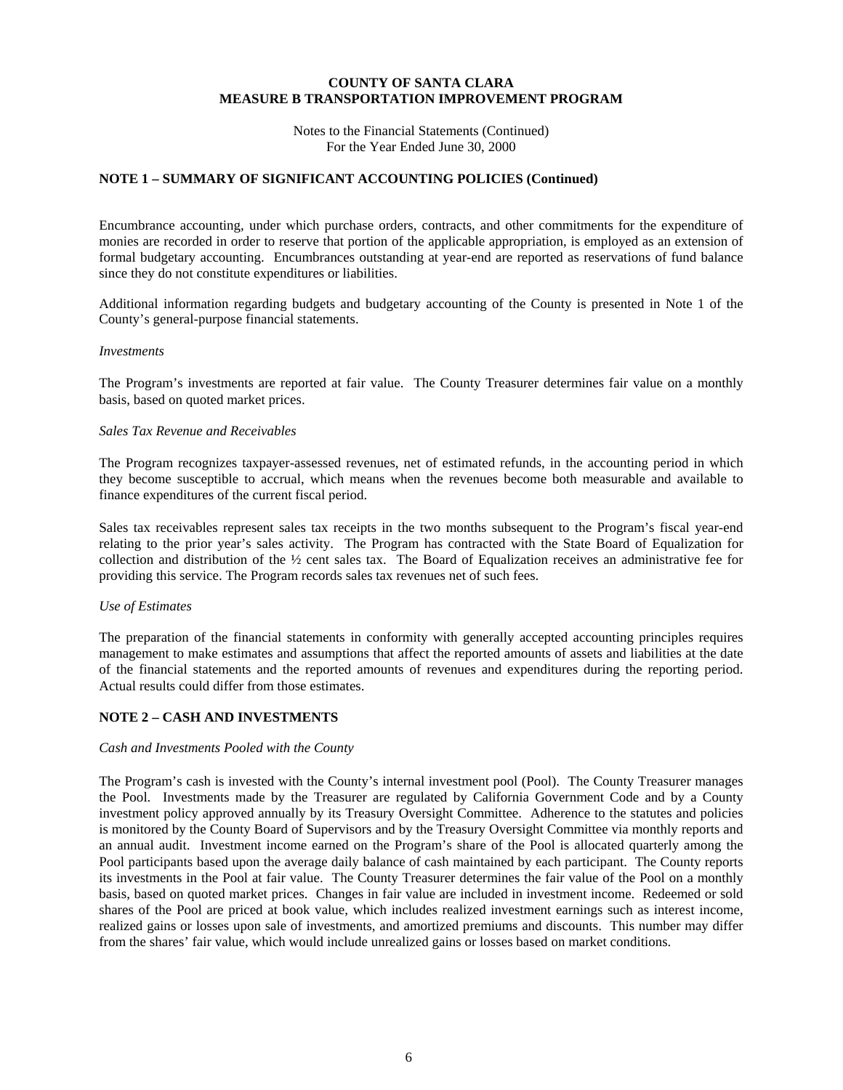Notes to the Financial Statements (Continued) For the Year Ended June 30, 2000

## **NOTE 1 – SUMMARY OF SIGNIFICANT ACCOUNTING POLICIES (Continued)**

Encumbrance accounting, under which purchase orders, contracts, and other commitments for the expenditure of monies are recorded in order to reserve that portion of the applicable appropriation, is employed as an extension of formal budgetary accounting. Encumbrances outstanding at year-end are reported as reservations of fund balance since they do not constitute expenditures or liabilities.

Additional information regarding budgets and budgetary accounting of the County is presented in Note 1 of the County's general-purpose financial statements.

#### *Investments*

The Program's investments are reported at fair value. The County Treasurer determines fair value on a monthly basis, based on quoted market prices.

#### *Sales Tax Revenue and Receivables*

The Program recognizes taxpayer-assessed revenues, net of estimated refunds, in the accounting period in which they become susceptible to accrual, which means when the revenues become both measurable and available to finance expenditures of the current fiscal period.

Sales tax receivables represent sales tax receipts in the two months subsequent to the Program's fiscal year-end relating to the prior year's sales activity. The Program has contracted with the State Board of Equalization for collection and distribution of the ½ cent sales tax. The Board of Equalization receives an administrative fee for providing this service. The Program records sales tax revenues net of such fees.

#### *Use of Estimates*

The preparation of the financial statements in conformity with generally accepted accounting principles requires management to make estimates and assumptions that affect the reported amounts of assets and liabilities at the date of the financial statements and the reported amounts of revenues and expenditures during the reporting period. Actual results could differ from those estimates.

#### **NOTE 2 – CASH AND INVESTMENTS**

#### *Cash and Investments Pooled with the County*

The Program's cash is invested with the County's internal investment pool (Pool). The County Treasurer manages the Pool. Investments made by the Treasurer are regulated by California Government Code and by a County investment policy approved annually by its Treasury Oversight Committee. Adherence to the statutes and policies is monitored by the County Board of Supervisors and by the Treasury Oversight Committee via monthly reports and an annual audit. Investment income earned on the Program's share of the Pool is allocated quarterly among the Pool participants based upon the average daily balance of cash maintained by each participant. The County reports its investments in the Pool at fair value. The County Treasurer determines the fair value of the Pool on a monthly basis, based on quoted market prices. Changes in fair value are included in investment income. Redeemed or sold shares of the Pool are priced at book value, which includes realized investment earnings such as interest income, realized gains or losses upon sale of investments, and amortized premiums and discounts. This number may differ from the shares' fair value, which would include unrealized gains or losses based on market conditions.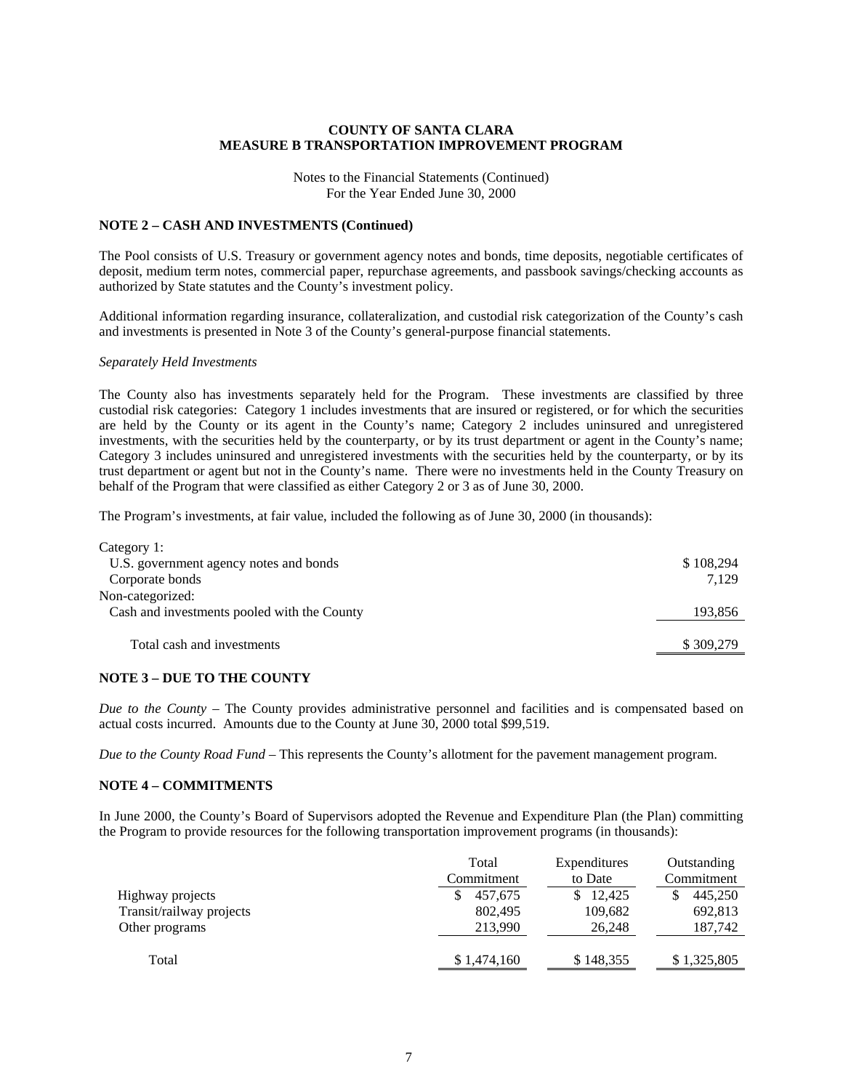Notes to the Financial Statements (Continued) For the Year Ended June 30, 2000

#### **NOTE 2 – CASH AND INVESTMENTS (Continued)**

The Pool consists of U.S. Treasury or government agency notes and bonds, time deposits, negotiable certificates of deposit, medium term notes, commercial paper, repurchase agreements, and passbook savings/checking accounts as authorized by State statutes and the County's investment policy.

Additional information regarding insurance, collateralization, and custodial risk categorization of the County's cash and investments is presented in Note 3 of the County's general-purpose financial statements.

#### *Separately Held Investments*

The County also has investments separately held for the Program. These investments are classified by three custodial risk categories: Category 1 includes investments that are insured or registered, or for which the securities are held by the County or its agent in the County's name; Category 2 includes uninsured and unregistered investments, with the securities held by the counterparty, or by its trust department or agent in the County's name; Category 3 includes uninsured and unregistered investments with the securities held by the counterparty, or by its trust department or agent but not in the County's name. There were no investments held in the County Treasury on behalf of the Program that were classified as either Category 2 or 3 as of June 30, 2000.

The Program's investments, at fair value, included the following as of June 30, 2000 (in thousands):

| Category 1:                                 |           |
|---------------------------------------------|-----------|
| U.S. government agency notes and bonds      | \$108,294 |
| Corporate bonds                             | 7.129     |
| Non-categorized:                            |           |
| Cash and investments pooled with the County | 193,856   |
| Total cash and investments                  | \$309,279 |

#### **NOTE 3 – DUE TO THE COUNTY**

*Due to the County* – The County provides administrative personnel and facilities and is compensated based on actual costs incurred. Amounts due to the County at June 30, 2000 total \$99,519.

*Due to the County Road Fund* – This represents the County's allotment for the pavement management program.

#### **NOTE 4 – COMMITMENTS**

In June 2000, the County's Board of Supervisors adopted the Revenue and Expenditure Plan (the Plan) committing the Program to provide resources for the following transportation improvement programs (in thousands):

|                          | Total<br>Commitment | <b>Expenditures</b><br>to Date | Outstanding<br>Commitment |
|--------------------------|---------------------|--------------------------------|---------------------------|
| Highway projects         | 457,675             | \$12,425                       | 445,250<br>S              |
| Transit/railway projects | 802,495             | 109,682                        | 692,813                   |
| Other programs           | 213,990             | 26.248                         | 187,742                   |
|                          |                     |                                |                           |
| Total                    | \$1,474,160         | \$148,355                      | \$1,325,805               |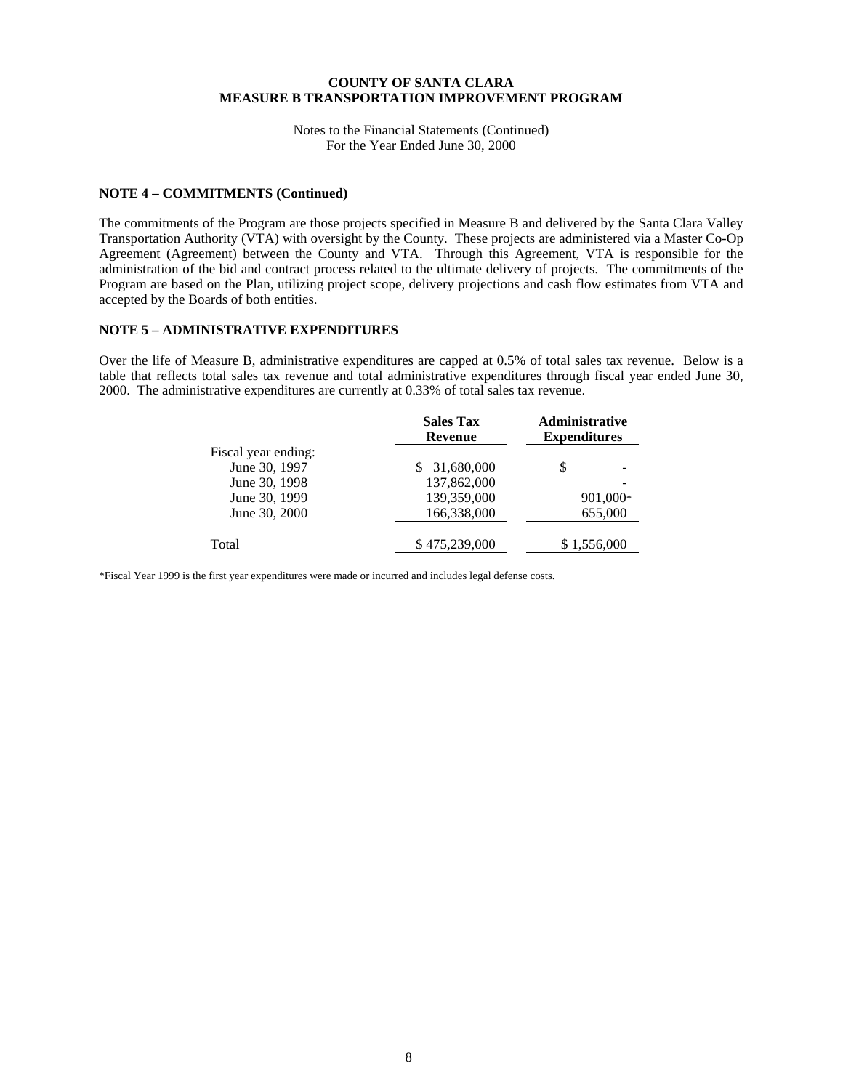Notes to the Financial Statements (Continued) For the Year Ended June 30, 2000

#### **NOTE 4 – COMMITMENTS (Continued)**

The commitments of the Program are those projects specified in Measure B and delivered by the Santa Clara Valley Transportation Authority (VTA) with oversight by the County. These projects are administered via a Master Co-Op Agreement (Agreement) between the County and VTA. Through this Agreement, VTA is responsible for the administration of the bid and contract process related to the ultimate delivery of projects. The commitments of the Program are based on the Plan, utilizing project scope, delivery projections and cash flow estimates from VTA and accepted by the Boards of both entities.

#### **NOTE 5 – ADMINISTRATIVE EXPENDITURES**

Over the life of Measure B, administrative expenditures are capped at 0.5% of total sales tax revenue. Below is a table that reflects total sales tax revenue and total administrative expenditures through fiscal year ended June 30, 2000. The administrative expenditures are currently at 0.33% of total sales tax revenue.

|                     | <b>Sales Tax</b><br><b>Revenue</b> | Administrative<br><b>Expenditures</b> |  |
|---------------------|------------------------------------|---------------------------------------|--|
| Fiscal year ending: |                                    |                                       |  |
| June 30, 1997       | 31,680,000                         | S                                     |  |
| June 30, 1998       | 137,862,000                        |                                       |  |
| June 30, 1999       | 139,359,000                        | 901,000*                              |  |
| June 30, 2000       | 166,338,000                        | 655,000                               |  |
| Total               | \$475,239,000                      | \$1,556,000                           |  |

\*Fiscal Year 1999 is the first year expenditures were made or incurred and includes legal defense costs.